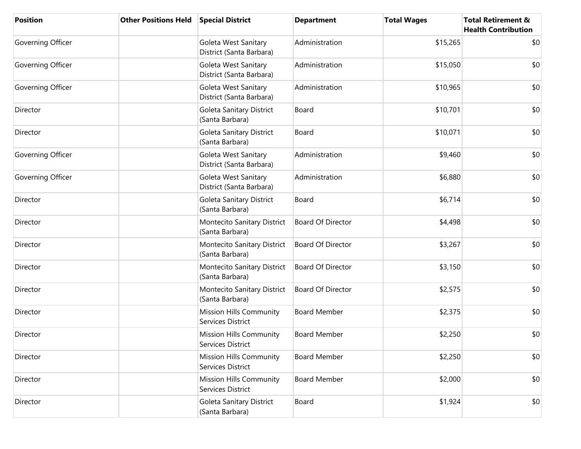| <b>Position</b>   | <b>Other Positions Held</b> | <b>Special District</b>                             | <b>Department</b>        | <b>Total Wages</b> | <b>Total Retirement &amp;</b><br><b>Health Contribution</b> |
|-------------------|-----------------------------|-----------------------------------------------------|--------------------------|--------------------|-------------------------------------------------------------|
| Governing Officer |                             | Goleta West Sanitary<br>District (Santa Barbara)    | Administration           | \$15,265           | \$0                                                         |
| Governing Officer |                             | Goleta West Sanitary<br>District (Santa Barbara)    | Administration           | \$15,050           | \$0                                                         |
| Governing Officer |                             | Goleta West Sanitary<br>District (Santa Barbara)    | Administration           | \$10,965           | \$0                                                         |
| Director          |                             | Goleta Sanitary District<br>(Santa Barbara)         | Board                    | \$10,701           | \$0                                                         |
| Director          |                             | Goleta Sanitary District<br>(Santa Barbara)         | Board                    | \$10,071           | \$0                                                         |
| Governing Officer |                             | Goleta West Sanitary<br>District (Santa Barbara)    | Administration           | \$9,460            | \$0                                                         |
| Governing Officer |                             | Goleta West Sanitary<br>District (Santa Barbara)    | Administration           | \$6,880            | \$0                                                         |
| Director          |                             | Goleta Sanitary District<br>(Santa Barbara)         | Board                    | \$6,714            | \$0                                                         |
| Director          |                             | Montecito Sanitary District<br>(Santa Barbara)      | <b>Board Of Director</b> | \$4,498            | \$0                                                         |
| Director          |                             | Montecito Sanitary District<br>(Santa Barbara)      | <b>Board Of Director</b> | \$3,267            | \$0                                                         |
| Director          |                             | Montecito Sanitary District<br>(Santa Barbara)      | <b>Board Of Director</b> | \$3,150            | \$0                                                         |
| Director          |                             | Montecito Sanitary District<br>(Santa Barbara)      | <b>Board Of Director</b> | \$2,575            | \$0                                                         |
| Director          |                             | Mission Hills Community<br>Services District        | <b>Board Member</b>      | \$2,375            | \$0                                                         |
| Director          |                             | Mission Hills Community<br>Services District        | <b>Board Member</b>      | \$2,250            | \$0                                                         |
| Director          |                             | Mission Hills Community<br>Services District        | <b>Board Member</b>      | \$2,250            | \$0                                                         |
| Director          |                             | <b>Mission Hills Community</b><br>Services District | <b>Board Member</b>      | \$2,000            | \$0                                                         |
| Director          |                             | Goleta Sanitary District<br>(Santa Barbara)         | Board                    | \$1,924            | \$0                                                         |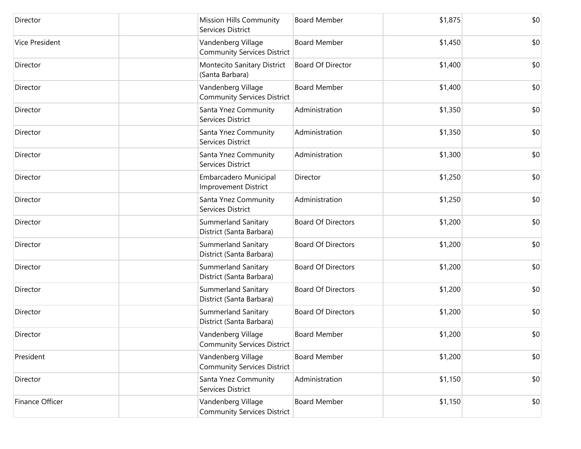| Director        | <b>Mission Hills Community</b><br>Services District      | <b>Board Member</b>       | \$1,875 | \$0 |
|-----------------|----------------------------------------------------------|---------------------------|---------|-----|
| Vice President  | Vandenberg Village<br><b>Community Services District</b> | <b>Board Member</b>       | \$1,450 | \$0 |
| Director        | Montecito Sanitary District<br>(Santa Barbara)           | <b>Board Of Director</b>  | \$1,400 | \$0 |
| Director        | Vandenberg Village<br><b>Community Services District</b> | <b>Board Member</b>       | \$1,400 | \$0 |
| Director        | Santa Ynez Community<br>Services District                | Administration            | \$1,350 | \$0 |
| Director        | Santa Ynez Community<br>Services District                | Administration            | \$1,350 | \$0 |
| Director        | Santa Ynez Community<br>Services District                | Administration            | \$1,300 | \$0 |
| Director        | Embarcadero Municipal<br><b>Improvement District</b>     | Director                  | \$1,250 | \$0 |
| Director        | Santa Ynez Community<br>Services District                | Administration            | \$1,250 | \$0 |
| Director        | Summerland Sanitary<br>District (Santa Barbara)          | <b>Board Of Directors</b> | \$1,200 | \$0 |
| Director        | Summerland Sanitary<br>District (Santa Barbara)          | <b>Board Of Directors</b> | \$1,200 | \$0 |
| Director        | Summerland Sanitary<br>District (Santa Barbara)          | <b>Board Of Directors</b> | \$1,200 | \$0 |
| Director        | Summerland Sanitary<br>District (Santa Barbara)          | <b>Board Of Directors</b> | \$1,200 | \$0 |
| Director        | <b>Summerland Sanitary</b><br>District (Santa Barbara)   | <b>Board Of Directors</b> | \$1,200 | \$0 |
| Director        | Vandenberg Village<br><b>Community Services District</b> | <b>Board Member</b>       | \$1,200 | \$0 |
| President       | Vandenberg Village<br><b>Community Services District</b> | <b>Board Member</b>       | \$1,200 | \$0 |
| Director        | Santa Ynez Community<br>Services District                | Administration            | \$1,150 | \$0 |
| Finance Officer | Vandenberg Village<br><b>Community Services District</b> | <b>Board Member</b>       | \$1,150 | \$0 |